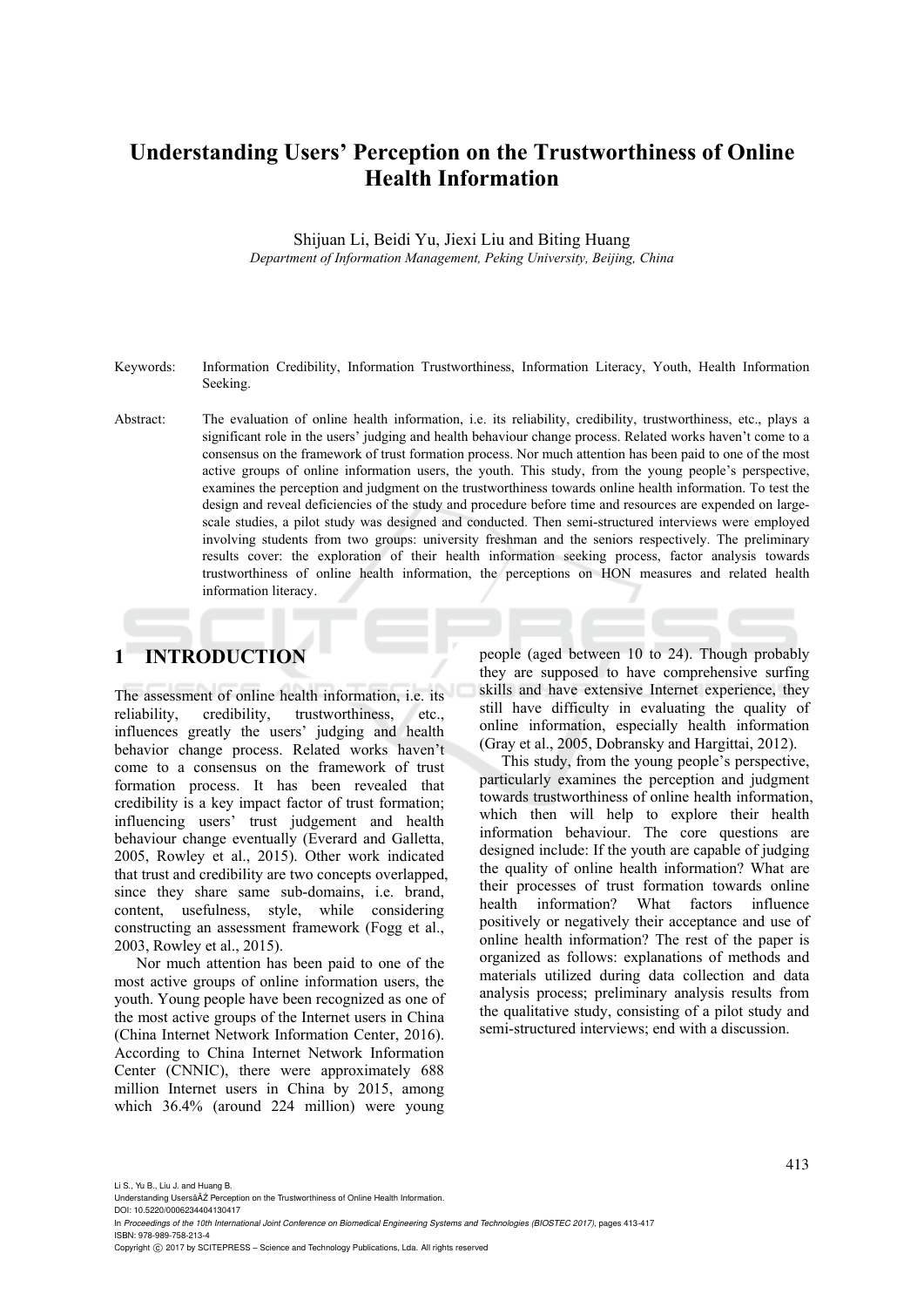# **Understanding Users' Perception on the Trustworthiness of Online Health Information**

Shijuan Li, Beidi Yu, Jiexi Liu and Biting Huang *Department of Information Management, Peking University, Beijing, China* 

- Keywords: Information Credibility, Information Trustworthiness, Information Literacy, Youth, Health Information Seeking.
- Abstract: The evaluation of online health information, i.e. its reliability, credibility, trustworthiness, etc., plays a significant role in the users' judging and health behaviour change process. Related works haven't come to a consensus on the framework of trust formation process. Nor much attention has been paid to one of the most active groups of online information users, the youth. This study, from the young people's perspective, examines the perception and judgment on the trustworthiness towards online health information. To test the design and reveal deficiencies of the study and procedure before time and resources are expended on largescale studies, a pilot study was designed and conducted. Then semi-structured interviews were employed involving students from two groups: university freshman and the seniors respectively. The preliminary results cover: the exploration of their health information seeking process, factor analysis towards trustworthiness of online health information, the perceptions on HON measures and related health information literacy.

# **1 INTRODUCTION**

The assessment of online health information, i.e. its reliability, credibility, trustworthiness, etc., influences greatly the users' judging and health behavior change process. Related works haven't come to a consensus on the framework of trust formation process. It has been revealed that credibility is a key impact factor of trust formation; influencing users' trust judgement and health behaviour change eventually (Everard and Galletta, 2005, Rowley et al., 2015). Other work indicated that trust and credibility are two concepts overlapped, since they share same sub-domains, i.e. brand, content, usefulness, style, while considering constructing an assessment framework (Fogg et al., 2003, Rowley et al., 2015).

Nor much attention has been paid to one of the most active groups of online information users, the youth. Young people have been recognized as one of the most active groups of the Internet users in China (China Internet Network Information Center, 2016). According to China Internet Network Information Center (CNNIC), there were approximately 688 million Internet users in China by 2015, among which 36.4% (around 224 million) were young

people (aged between 10 to 24). Though probably they are supposed to have comprehensive surfing skills and have extensive Internet experience, they still have difficulty in evaluating the quality of online information, especially health information (Gray et al., 2005, Dobransky and Hargittai, 2012).

This study, from the young people's perspective, particularly examines the perception and judgment towards trustworthiness of online health information, which then will help to explore their health information behaviour. The core questions are designed include: If the youth are capable of judging the quality of online health information? What are their processes of trust formation towards online health information? What factors influence positively or negatively their acceptance and use of online health information? The rest of the paper is organized as follows: explanations of methods and materials utilized during data collection and data analysis process; preliminary analysis results from the qualitative study, consisting of a pilot study and semi-structured interviews; end with a discussion.

DOI: 10.5220/0006234404130417 In *Proceedings of the 10th International Joint Conference on Biomedical Engineering Systems and Technologies (BIOSTEC 2017)*, pages 413-417

ISBN: 978-989-758-213-4

Li S., Yu B., Liu J. and Huang B.

Understanding Usersâ $\overline{A}$ <sup>2</sup> Perception on the Trustworthiness of Online Health Information

Copyright C 2017 by SCITEPRESS – Science and Technology Publications, Lda. All rights reserved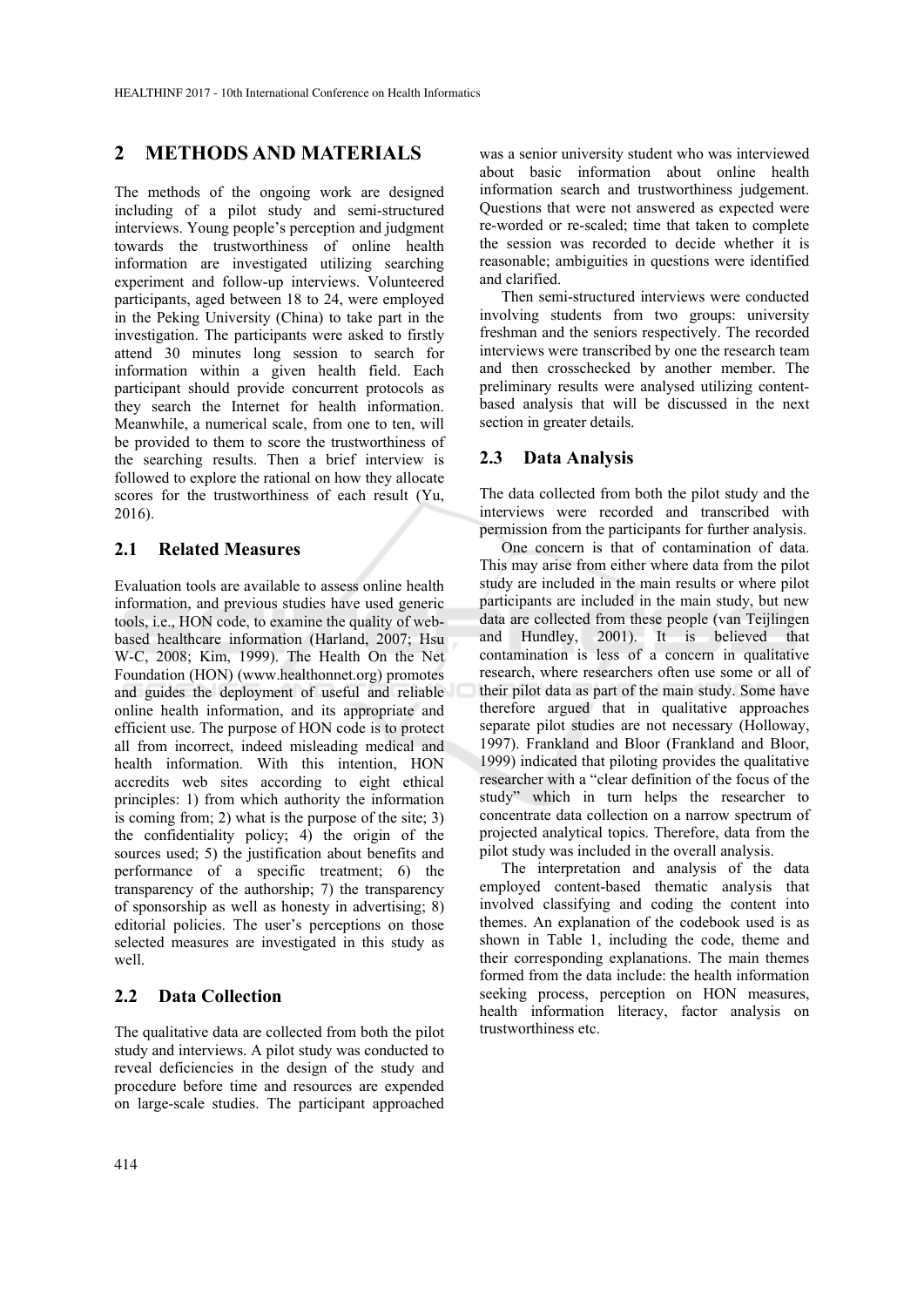# **2 METHODS AND MATERIALS**

The methods of the ongoing work are designed including of a pilot study and semi-structured interviews. Young people's perception and judgment towards the trustworthiness of online health information are investigated utilizing searching experiment and follow-up interviews. Volunteered participants, aged between 18 to 24, were employed in the Peking University (China) to take part in the investigation. The participants were asked to firstly attend 30 minutes long session to search for information within a given health field. Each participant should provide concurrent protocols as they search the Internet for health information. Meanwhile, a numerical scale, from one to ten, will be provided to them to score the trustworthiness of the searching results. Then a brief interview is followed to explore the rational on how they allocate scores for the trustworthiness of each result (Yu, 2016).

#### **2.1 Related Measures**

Evaluation tools are available to assess online health information, and previous studies have used generic tools, i.e., HON code, to examine the quality of webbased healthcare information (Harland, 2007; Hsu W-C, 2008; Kim, 1999). The Health On the Net Foundation (HON) (www.healthonnet.org) promotes and guides the deployment of useful and reliable online health information, and its appropriate and efficient use. The purpose of HON code is to protect all from incorrect, indeed misleading medical and health information. With this intention, HON accredits web sites according to eight ethical principles: 1) from which authority the information is coming from; 2) what is the purpose of the site; 3) the confidentiality policy; 4) the origin of the sources used; 5) the justification about benefits and performance of a specific treatment; 6) the transparency of the authorship; 7) the transparency of sponsorship as well as honesty in advertising; 8) editorial policies. The user's perceptions on those selected measures are investigated in this study as well

### **2.2 Data Collection**

The qualitative data are collected from both the pilot study and interviews. A pilot study was conducted to reveal deficiencies in the design of the study and procedure before time and resources are expended on large-scale studies. The participant approached

was a senior university student who was interviewed about basic information about online health information search and trustworthiness judgement. Questions that were not answered as expected were re-worded or re-scaled; time that taken to complete the session was recorded to decide whether it is reasonable; ambiguities in questions were identified and clarified.

Then semi-structured interviews were conducted involving students from two groups: university freshman and the seniors respectively. The recorded interviews were transcribed by one the research team and then crosschecked by another member. The preliminary results were analysed utilizing contentbased analysis that will be discussed in the next section in greater details.

#### **2.3 Data Analysis**

The data collected from both the pilot study and the interviews were recorded and transcribed with permission from the participants for further analysis.

One concern is that of contamination of data. This may arise from either where data from the pilot study are included in the main results or where pilot participants are included in the main study, but new data are collected from these people (van Teijlingen and Hundley, 2001). It is believed that contamination is less of a concern in qualitative research, where researchers often use some or all of their pilot data as part of the main study. Some have therefore argued that in qualitative approaches separate pilot studies are not necessary (Holloway, 1997). Frankland and Bloor (Frankland and Bloor, 1999) indicated that piloting provides the qualitative researcher with a "clear definition of the focus of the study" which in turn helps the researcher to concentrate data collection on a narrow spectrum of projected analytical topics. Therefore, data from the pilot study was included in the overall analysis.

The interpretation and analysis of the data employed content-based thematic analysis that involved classifying and coding the content into themes. An explanation of the codebook used is as shown in Table 1, including the code, theme and their corresponding explanations. The main themes formed from the data include: the health information seeking process, perception on HON measures, health information literacy, factor analysis on trustworthiness etc.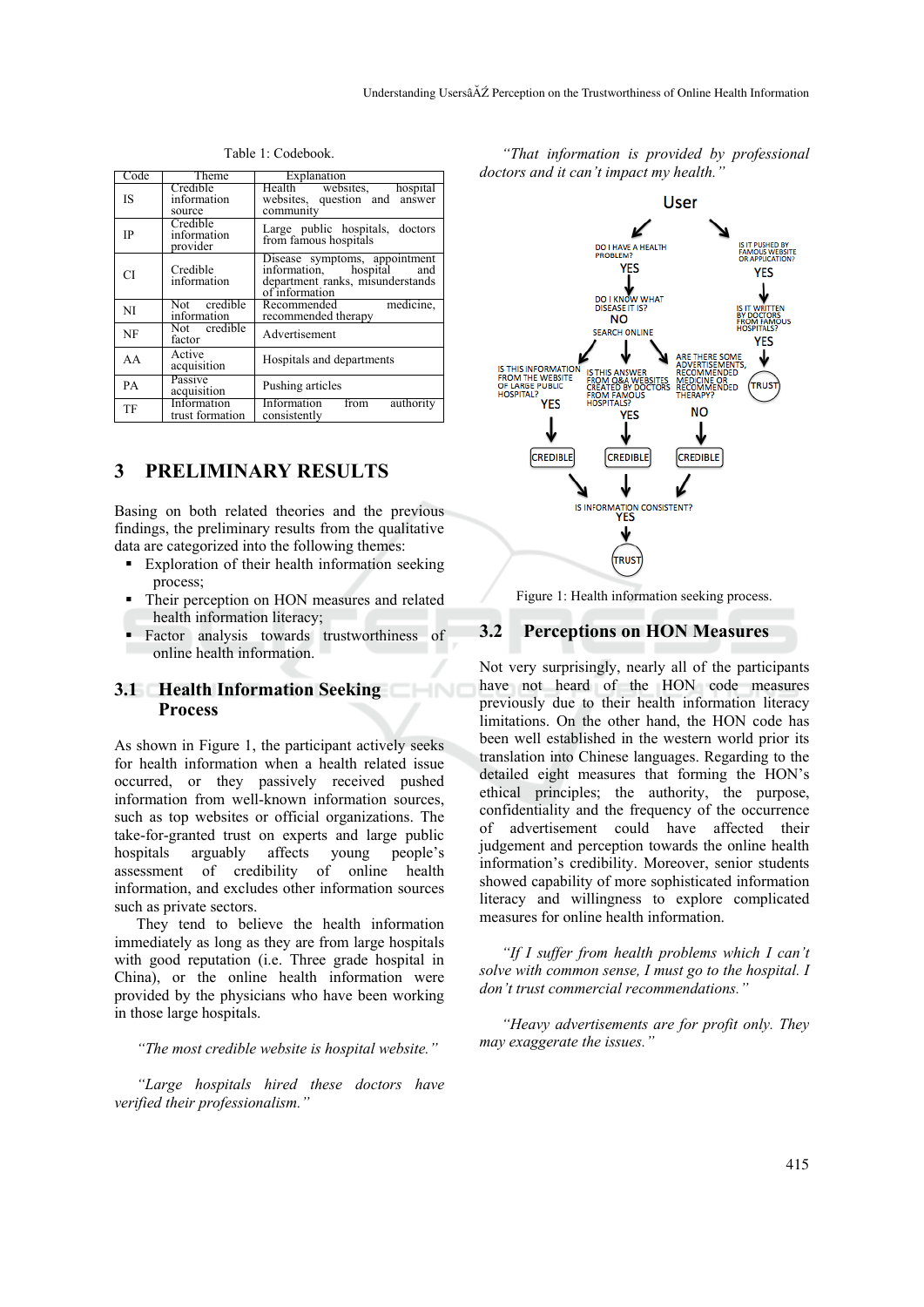| Code      | Theme                               | Explanation                                                                                                         |
|-----------|-------------------------------------|---------------------------------------------------------------------------------------------------------------------|
| IS        | Credible<br>information<br>source   | Health websites, hospital<br>websites, question and answer<br>community                                             |
| <b>IP</b> | Credible<br>information<br>provider | Large public hospitals, doctors<br>from famous hospitals                                                            |
| СI        | Credible<br>information             | Disease symptoms, appointment<br>information, hospital<br>and<br>department ranks, misunderstands<br>of information |
| NI        | Not credible<br>information         | Recommended<br>medicine,<br>recommended therapy                                                                     |
| <b>NF</b> | Not credible<br>factor              | Advertisement                                                                                                       |
| AA        | Active<br>acquisition               | Hospitals and departments                                                                                           |
| PA        | Passive<br>acquisition              | Pushing articles                                                                                                    |
| TF        | Information<br>trust formation      | Information<br>from<br>authority<br>consistently                                                                    |

Table 1: Codebook.

## **3 PRELIMINARY RESULTS**

Basing on both related theories and the previous findings, the preliminary results from the qualitative data are categorized into the following themes:

- Exploration of their health information seeking process;
- Their perception on HON measures and related health information literacy;
- Factor analysis towards trustworthiness of online health information.

HND

### **3.1 Health Information Seeking Process**

As shown in Figure 1, the participant actively seeks for health information when a health related issue occurred, or they passively received pushed information from well-known information sources, such as top websites or official organizations. The take-for-granted trust on experts and large public hospitals arguably affects young people's assessment of credibility of online health information, and excludes other information sources such as private sectors.

They tend to believe the health information immediately as long as they are from large hospitals with good reputation (i.e. Three grade hospital in China), or the online health information were provided by the physicians who have been working in those large hospitals.

*"The most credible website is hospital website."* 

*"Large hospitals hired these doctors have verified their professionalism."* 

*"That information is provided by professional*  doctors and it can't impact my health.



Figure 1: Health information seeking process.

#### **3.2 Perceptions on HON Measures**

Not very surprisingly, nearly all of the participants have not heard of the HON code measures previously due to their health information literacy limitations. On the other hand, the HON code has been well established in the western world prior its translation into Chinese languages. Regarding to the detailed eight measures that forming the HON's ethical principles; the authority, the purpose, confidentiality and the frequency of the occurrence of advertisement could have affected their judgement and perception towards the online health information's credibility. Moreover, senior students showed capability of more sophisticated information literacy and willingness to explore complicated measures for online health information.

*"If I suffer from health problems which I can't solve with common sense, I must go to the hospital. I don't trust commercial recommendations."* 

*"Heavy advertisements are for profit only. They may exaggerate the issues."*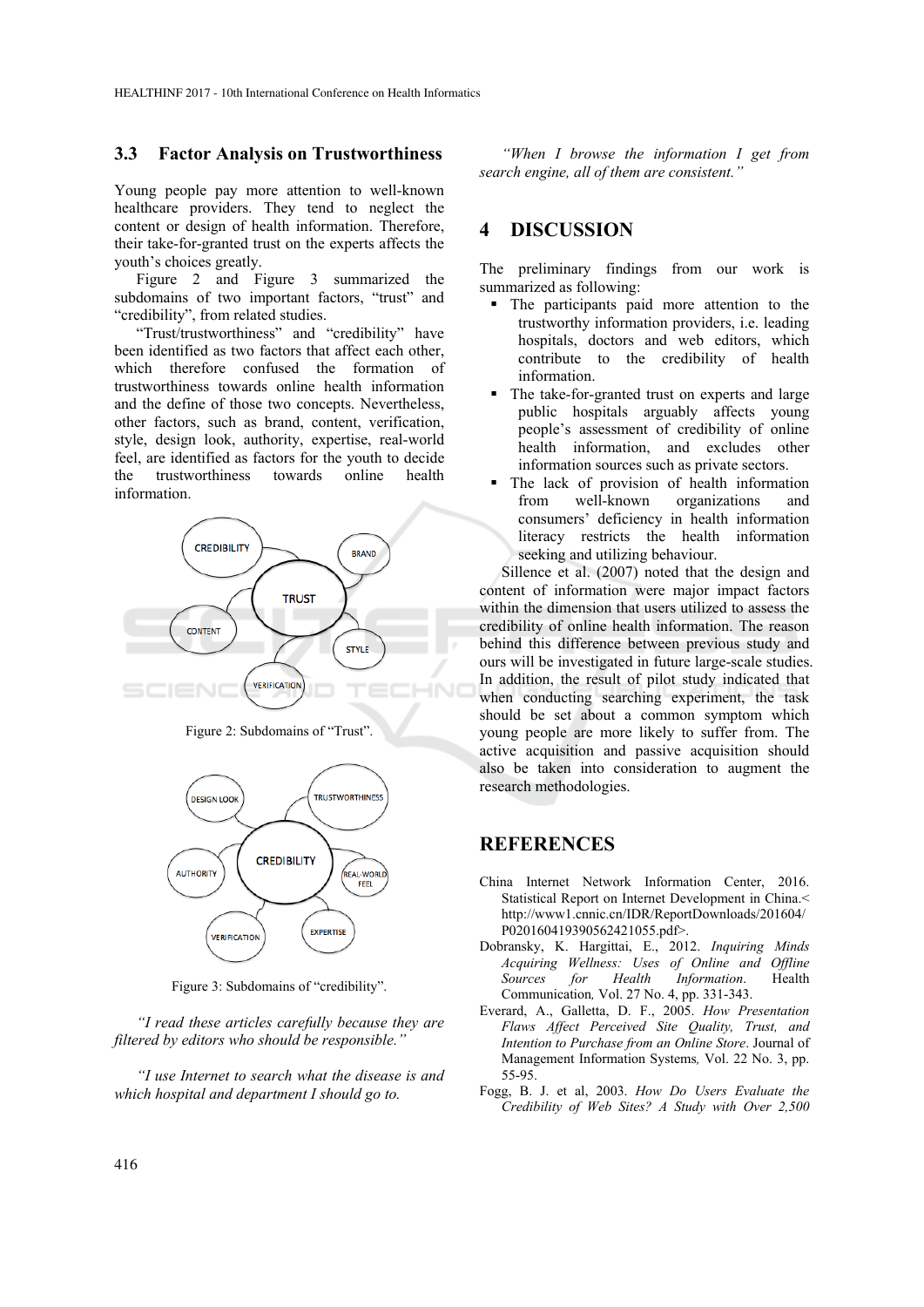#### **3.3 Factor Analysis on Trustworthiness**

Young people pay more attention to well-known healthcare providers. They tend to neglect the content or design of health information. Therefore, their take-for-granted trust on the experts affects the youth's choices greatly.

Figure 2 and Figure 3 summarized the subdomains of two important factors, "trust" and "credibility", from related studies.

"Trust/trustworthiness" and "credibility" have been identified as two factors that affect each other, which therefore confused the formation of trustworthiness towards online health information and the define of those two concepts. Nevertheless, other factors, such as brand, content, verification, style, design look, authority, expertise, real-world feel, are identified as factors for the youth to decide the trustworthiness towards online health information.



Figure 2: Subdomains of "Trust".



Figure 3: Subdomains of "credibility".

*"I read these articles carefully because they are filtered by editors who should be responsible."* 

*"I use Internet to search what the disease is and which hospital and department I should go to.* 

*"When I browse the information I get from search engine, all of them are consistent."* 

## **4 DISCUSSION**

The preliminary findings from our work is summarized as following:

- The participants paid more attention to the trustworthy information providers, i.e. leading hospitals, doctors and web editors, which contribute to the credibility of health information.
- The take-for-granted trust on experts and large public hospitals arguably affects young people's assessment of credibility of online health information, and excludes other information sources such as private sectors.
- The lack of provision of health information from well-known organizations and consumers' deficiency in health information literacy restricts the health information seeking and utilizing behaviour.

Sillence et al. (2007) noted that the design and content of information were major impact factors within the dimension that users utilized to assess the credibility of online health information. The reason behind this difference between previous study and ours will be investigated in future large-scale studies. In addition, the result of pilot study indicated that when conducting searching experiment, the task should be set about a common symptom which young people are more likely to suffer from. The active acquisition and passive acquisition should also be taken into consideration to augment the research methodologies.

# **REFERENCES**

- China Internet Network Information Center, 2016. Statistical Report on Internet Development in China.< http://www1.cnnic.cn/IDR/ReportDownloads/201604/ P020160419390562421055.pdf>.
- Dobransky, K. Hargittai, E., 2012. *Inquiring Minds Acquiring Wellness: Uses of Online and Offline Sources for Health Information*. Health Communication*,* Vol. 27 No. 4, pp. 331-343.
- Everard, A., Galletta, D. F., 2005. *How Presentation Flaws Affect Perceived Site Quality, Trust, and Intention to Purchase from an Online Store*. Journal of Management Information Systems*,* Vol. 22 No. 3, pp. 55-95.
- Fogg, B. J. et al, 2003. *How Do Users Evaluate the Credibility of Web Sites? A Study with Over 2,500*